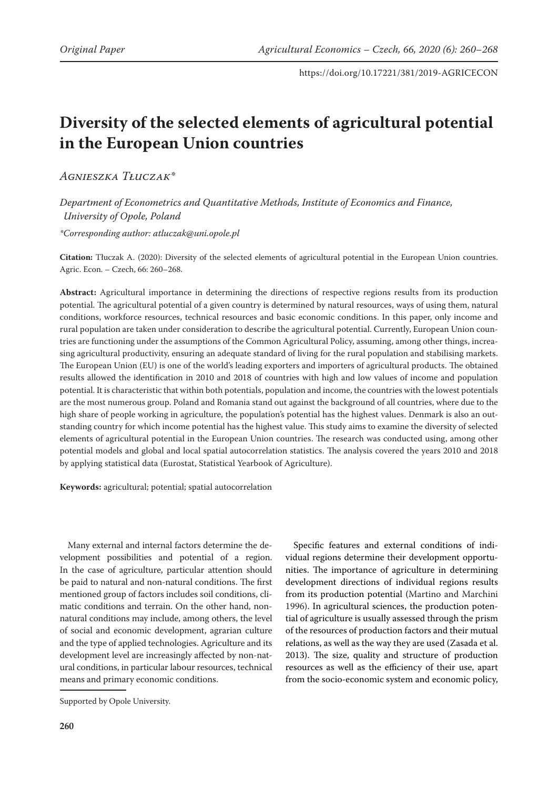# **Diversity of the selected elements of agricultural potential in the European Union countries**

*Agnieszka Tłuczak\**

*Department of Econometrics and Quantitative Methods, Institute of Economics and Finance, University of Opole, Poland*

*\*Corresponding author: atluczak@uni.opole.pl*

**Citation:** Tłuczak A. (2020): Diversity of the selected elements of agricultural potential in the European Union countries. Agric. Econ. – Czech, 66: 260–268.

**Abstract:** Agricultural importance in determining the directions of respective regions results from its production potential. The agricultural potential of a given country is determined by natural resources, ways of using them, natural conditions, workforce resources, technical resources and basic economic conditions. In this paper, only income and rural population are taken under consideration to describe the agricultural potential. Currently, European Union countries are functioning under the assumptions of the Common Agricultural Policy, assuming, among other things, increasing agricultural productivity, ensuring an adequate standard of living for the rural population and stabilising markets. The European Union (EU) is one of the world's leading exporters and importers of agricultural products. The obtained results allowed the identification in 2010 and 2018 of countries with high and low values of income and population potential. It is characteristic that within both potentials, population and income, the countries with the lowest potentials are the most numerous group. Poland and Romania stand out against the background of all countries, where due to the high share of people working in agriculture, the population's potential has the highest values. Denmark is also an outstanding country for which income potential has the highest value. This study aims to examine the diversity of selected elements of agricultural potential in the European Union countries. The research was conducted using, among other potential models and global and local spatial autocorrelation statistics. The analysis covered the years 2010 and 2018 by applying statistical data (Eurostat, Statistical Yearbook of Agriculture).

**Keywords:** agricultural; potential; spatial autocorrelation

Many external and internal factors determine the development possibilities and potential of a region. In the case of agriculture, particular attention should be paid to natural and non-natural conditions. The first mentioned group of factors includes soil conditions, climatic conditions and terrain. On the other hand, nonnatural conditions may include, among others, the level of social and economic development, agrarian culture and the type of applied technologies. Agriculture and its development level are increasingly affected by non-natural conditions, in particular labour resources, technical means and primary economic conditions.

Specific features and external conditions of individual regions determine their development opportunities. The importance of agriculture in determining development directions of individual regions results from its production potential (Martino and Marchini 1996). In agricultural sciences, the production potential of agriculture is usually assessed through the prism of the resources of production factors and their mutual relations, as well as the way they are used (Zasada et al. 2013). The size, quality and structure of production resources as well as the efficiency of their use, apart from the socio-economic system and economic policy,

Supported by Opole University.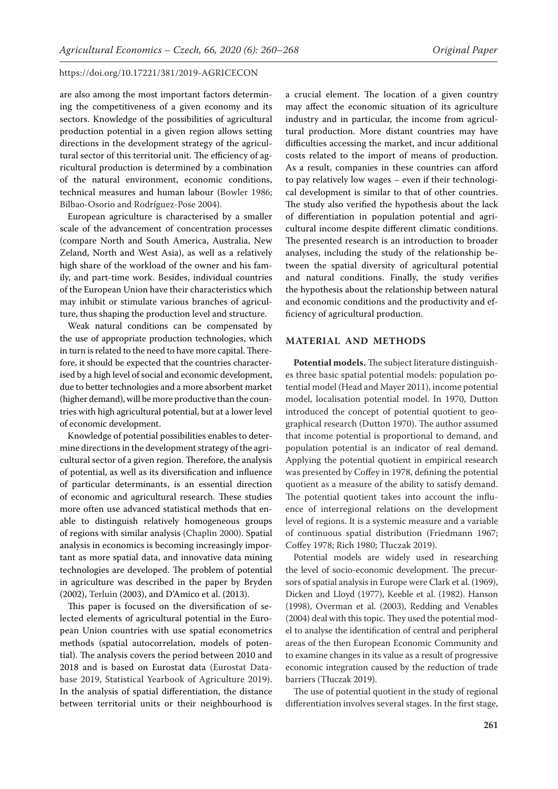are also among the most important factors determining the competitiveness of a given economy and its sectors. Knowledge of the possibilities of agricultural production potential in a given region allows setting directions in the development strategy of the agricultural sector of this territorial unit. The efficiency of agricultural production is determined by a combination of the natural environment, economic conditions, technical measures and human labour (Bowler 1986; Bilbao-Osorio and Rodríguez-Pose 2004).

European agriculture is characterised by a smaller scale of the advancement of concentration processes (compare North and South America, Australia, New Zeland, North and West Asia), as well as a relatively high share of the workload of the owner and his family, and part-time work. Besides, individual countries of the European Union have their characteristics which may inhibit or stimulate various branches of agriculture, thus shaping the production level and structure.

Weak natural conditions can be compensated by the use of appropriate production technologies, which in turn is related to the need to have more capital. Therefore, it should be expected that the countries characterised by a high level of social and economic development, due to better technologies and a more absorbent market (higher demand), will be more productive than the countries with high agricultural potential, but at a lower level of economic development.

Knowledge of potential possibilities enables to determine directions in the development strategy of the agricultural sector of a given region. Therefore, the analysis of potential, as well as its diversification and influence of particular determinants, is an essential direction of economic and agricultural research. These studies more often use advanced statistical methods that enable to distinguish relatively homogeneous groups of regions with similar analysis (Chaplin 2000). Spatial analysis in economics is becoming increasingly important as more spatial data, and innovative data mining technologies are developed. The problem of potential in agriculture was described in the paper by Bryden (2002), Terluin (2003), and D'Amico et al. (2013).

This paper is focused on the diversification of selected elements of agricultural potential in the European Union countries with use spatial econometrics methods (spatial autocorrelation, models of potential). The analysis covers the period between 2010 and 2018 and is based on Eurostat data (Eurostat Database 2019, Statistical Yearbook of Agriculture 2019). In the analysis of spatial differentiation, the distance between territorial units or their neighbourhood is

a crucial element. The location of a given country may affect the economic situation of its agriculture industry and in particular, the income from agricultural production. More distant countries may have difficulties accessing the market, and incur additional costs related to the import of means of production. As a result, companies in these countries can afford to pay relatively low wages – even if their technological development is similar to that of other countries. The study also verified the hypothesis about the lack of differentiation in population potential and agricultural income despite different climatic conditions. The presented research is an introduction to broader analyses, including the study of the relationship between the spatial diversity of agricultural potential and natural conditions. Finally, the study verifies the hypothesis about the relationship between natural and economic conditions and the productivity and efficiency of agricultural production.

#### **MATERIAL AND METHODS**

**Potential models.** The subject literature distinguishes three basic spatial potential models: population potential model (Head and Mayer 2011), income potential model, localisation potential model. In 1970, Dutton introduced the concept of potential quotient to geographical research (Dutton 1970). The author assumed that income potential is proportional to demand, and population potential is an indicator of real demand. Applying the potential quotient in empirical research was presented by Coffey in 1978, defining the potential quotient as a measure of the ability to satisfy demand. The potential quotient takes into account the influence of interregional relations on the development level of regions. It is a systemic measure and a variable of continuous spatial distribution (Friedmann 1967; Coffey 1978; Rich 1980; Tłuczak 2019).

Potential models are widely used in researching the level of socio-economic development. The precursors of spatial analysis in Europe were Clark et al. (1969), Dicken and Lloyd (1977), Keeble et al. (1982). Hanson (1998), Overman et al. (2003), Redding and Venables (2004) deal with this topic. They used the potential model to analyse the identification of central and peripheral areas of the then European Economic Community and to examine changes in its value as a result of progressive economic integration caused by the reduction of trade barriers (Tłuczak 2019).

The use of potential quotient in the study of regional differentiation involves several stages. In the first stage,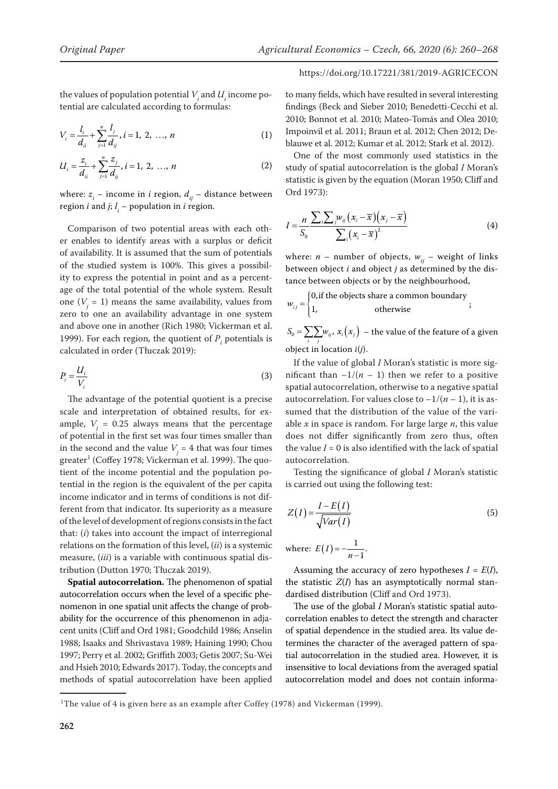the values of population potential  $V_i$  and  $U_i$  income potential are calculated according to formulas:

$$
V_i = \frac{l_i}{d_{ii}} + \sum_{j=1}^n \frac{l_j}{d_{ij}}, i = 1, 2, ..., n
$$
 (1)

$$
U_i = \frac{z_i}{d_{ii}} + \sum_{j=1}^{n} \frac{z_j}{d_{ij}}, i = 1, 2, ..., n
$$
 (2)

where:  $z_i$  – income in *i* region,  $d_{ij}$  – distance between region *i* and *j*; *l <sup>i</sup>* – population in *i* region.

Comparison of two potential areas with each other enables to identify areas with a surplus or deficit of availability. It is assumed that the sum of potentials of the studied system is 100%. This gives a possibility to express the potential in point and as a percentage of the total potential of the whole system. Result one  $(V<sub>i</sub> = 1)$  means the same availability, values from zero to one an availability advantage in one system and above one in another (Rich 1980; Vickerman et al. 1999). For each region, the quotient of  $P_i$  potentials is calculated in order (Tłuczak 2019):

$$
P_i = \frac{U_i}{V_i} \tag{3}
$$

The advantage of the potential quotient is a precise scale and interpretation of obtained results, for example,  $V_i$  = 0.25 always means that the percentage of potential in the first set was four times smaller than in the second and the value  $V_j = 4$  that was four times greater<sup>1</sup> (Coffey 1978; Vickerman et al. 1999). The quotient of the income potential and the population potential in the region is the equivalent of the per capita income indicator and in terms of conditions is not different from that indicator. Its superiority as a measure of the level of development of regions consists in the fact that: (*i*) takes into account the impact of interregional relations on the formation of this level, (*ii*) is a systemic measure, (*iii*) is a variable with continuous spatial distribution (Dutton 1970; Tłuczak 2019).

**Spatial autocorrelation.** The phenomenon of spatial autocorrelation occurs when the level of a specific phenomenon in one spatial unit affects the change of probability for the occurrence of this phenomenon in adjacent units (Cliff and Ord 1981; Goodchild 1986; Anselin 1988; Isaaks and Shrivastava 1989; Haining 1990; Chou 1997; Perry et al. 2002; Griffith 2003; Getis 2007; Su-Wei and Hsieh 2010; Edwards 2017). Today, the concepts and methods of spatial autocorrelation have been applied

to many fields, which have resulted in several interesting findings (Beck and Sieber 2010; Benedetti-Cecchi et al. 2010; Bonnot et al. 2010; Mateo-Tomás and Olea 2010; Impoinvil et al. 2011; Braun et al. 2012; Chen 2012; Deblauwe et al. 2012; Kumar et al. 2012; Stark et al. 2012).

One of the most commonly used statistics in the study of spatial autocorrelation is the global *I* Moran's statistic is given by the equation (Moran 1950; Cliff and Ord 1973):

$$
I = \frac{n}{S_0} \frac{\sum_{i} \sum_{j} w_{ij} (x_i - \overline{x}) (x_j - \overline{x})}{\sum_{i} (x_i - \overline{x})^2}
$$
(4)

where:  $n$  – number of objects,  $w_{ij}$  – weight of links between object *i* and object *j* as determined by the distance between objects or by the neighbourhood,

$$
w_{ij} = \begin{cases} 0, & \text{if the objects share a common boundary} \\ 1, & \text{otherwise} \end{cases}
$$
;

 $\mathcal{S}_0 = \sum \sum w_{ij}, \, \mathcal{x}_{i}\left( \mathcal{x}_{j} \right) \,$  – the value of the feature of a given *i j* object in location *i*(*j*).

If the value of global *I* Moran's statistic is more significant than  $-1/(n - 1)$  then we refer to a positive spatial autocorrelation, otherwise to a negative spatial autocorrelation. For values close to  $-1/(n-1)$ , it is assumed that the distribution of the value of the variable *x* in space is random. For large large *n*, this value does not differ significantly from zero thus, often the value  $I = 0$  is also identified with the lack of spatial autocorrelation.

Testing the significance of global *I* Moran's statistic is carried out using the following test:

$$
Z(I) = \frac{I - E(I)}{\sqrt{Var(I)}}\tag{5}
$$

where:  $E(I) = -\frac{1}{n-1}$ .

Assuming the accuracy of zero hypotheses  $I = E(I)$ , the statistic  $Z(I)$  has an asymptotically normal standardised distribution (Cliff and Ord 1973).

The use of the global *I* Moran's statistic spatial autocorrelation enables to detect the strength and character of spatial dependence in the studied area. Its value determines the character of the averaged pattern of spatial autocorrelation in the studied area. However, it is insensitive to local deviations from the averaged spatial autocorrelation model and does not contain informa-

 $^{\rm 1}{\rm The}$  value of 4 is given here as an example after Coffey (1978) and Vickerman (1999).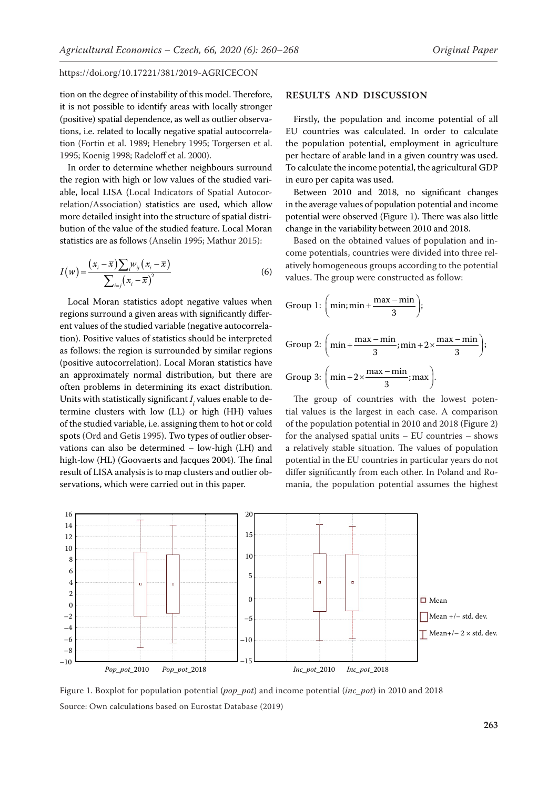tion on the degree of instability of this model. Therefore, it is not possible to identify areas with locally stronger (positive) spatial dependence, as well as outlier observations, i.e. related to locally negative spatial autocorrelation (Fortin et al. 1989; Henebry 1995; Torgersen et al. 1995; Koenig 1998; Radeloff et al. 2000).

In order to determine whether neighbours surround the region with high or low values of the studied variable, local LISA (Local Indicators of Spatial Autocorrelation/Association) statistics are used, which allow more detailed insight into the structure of spatial distribution of the value of the studied feature. Local Moran statistics are as follows (Anselin 1995; Mathur 2015):

$$
I(w) = \frac{(x_i - \overline{x})\sum_{i} w_{ij}(x_i - \overline{x})}{\sum_{i=j} (x_i - \overline{x})^2}
$$
(6)

Local Moran statistics adopt negative values when regions surround a given areas with significantly different values of the studied variable (negative autocorrelation). Positive values of statistics should be interpreted as follows: the region is surrounded by similar regions (positive autocorrelation). Local Moran statistics have an approximately normal distribution, but there are often problems in determining its exact distribution. Units with statistically significant  $I_i$  values enable to determine clusters with low (LL) or high (HH) values of the studied variable, i.e. assigning them to hot or cold spots (Ord and Getis 1995). Two types of outlier observations can also be determined – low-high (LH) and high-low (HL) (Goovaerts and Jacques 2004). The final result of LISA analysis is to map clusters and outlier observations, which were carried out in this paper.

### **RESULTS AND DISCUSSION**

Firstly, the population and income potential of all EU countries was calculated. In order to calculate the population potential, employment in agriculture per hectare of arable land in a given country was used. To calculate the income potential, the agricultural GDP in euro per capita was used.

Between 2010 and 2018, no significant changes in the average values of population potential and income potential were observed (Figure 1). There was also little change in the variability between 2010 and 2018.

Based on the obtained values of population and income potentials, countries were divided into three relatively homogeneous groups according to the potential values. The group were constructed as follow:

Group 1: 
$$
\left(\min; \min + \frac{\max - \min}{3}\right);
$$
  
\nGroup 2:  $\left(\min + \frac{\max - \min}{3}; \min + 2 \times \frac{\max - \min}{3}\right);$   
\nGroup 3:  $\left(\min + 2 \times \frac{\max - \min}{3}; \max\right).$ 

The group of countries with the lowest potential values is the largest in each case. A comparison of the population potential in 2010 and 2018 (Figure 2) for the analysed spatial units – EU countries – shows a relatively stable situation. The values of population potential in the EU countries in particular years do not differ significantly from each other. In Poland and Romania, the population potential assumes the highest



Figure 1. Boxplot for population potential (*pop\_pot*) and income potential (*inc\_pot*) in 2010 and 2018 Source: Own calculations based on Eurostat Database (2019)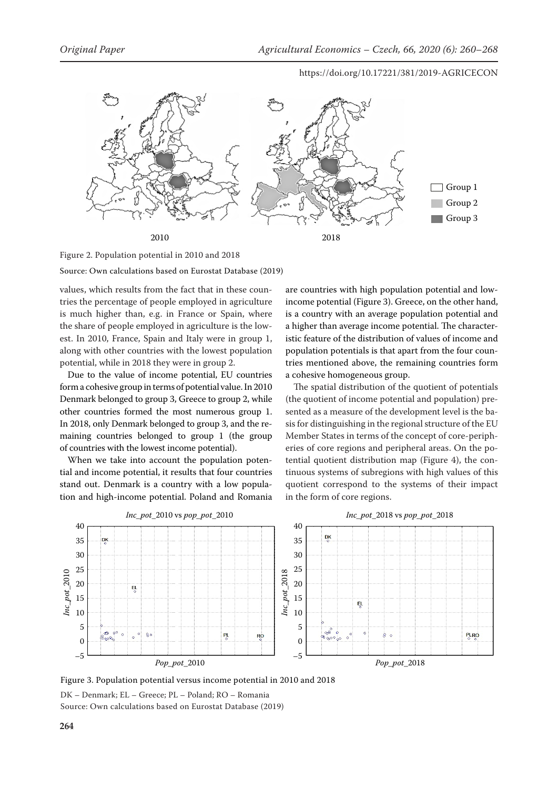

Figure 2. Population potential in 2010 and 2018 Source: Own calculations based on Eurostat Database (2019)

values, which results from the fact that in these countries the percentage of people employed in agriculture is much higher than, e.g. in France or Spain, where the share of people employed in agriculture is the lowest. In 2010, France, Spain and Italy were in group 1, along with other countries with the lowest population potential, while in 2018 they were in group 2.

Due to the value of income potential, EU countries form a cohesive group in terms of potential value. In 2010 Denmark belonged to group 3, Greece to group 2, while other countries formed the most numerous group 1. In 2018, only Denmark belonged to group 3, and the remaining countries belonged to group 1 (the group of countries with the lowest income potential).

When we take into account the population potential and income potential, it results that four countries stand out. Denmark is a country with a low population and high-income potential. Poland and Romania are countries with high population potential and lowincome potential (Figure 3). Greece, on the other hand, is a country with an average population potential and a higher than average income potential. The characteristic feature of the distribution of values of income and population potentials is that apart from the four countries mentioned above, the remaining countries form a cohesive homogeneous group.

The spatial distribution of the quotient of potentials (the quotient of income potential and population) presented as a measure of the development level is the basis for distinguishing in the regional structure of the EU Member States in terms of the concept of core-peripheries of core regions and peripheral areas. On the potential quotient distribution map (Figure 4), the continuous systems of subregions with high values of this quotient correspond to the systems of their impact in the form of core regions.



Figure 3. Population potential versus income potential in 2010 and 2018

DK – Denmark; EL – Greece; PL – Poland; RO – Romania Source: Own calculations based on Eurostat Database (2019)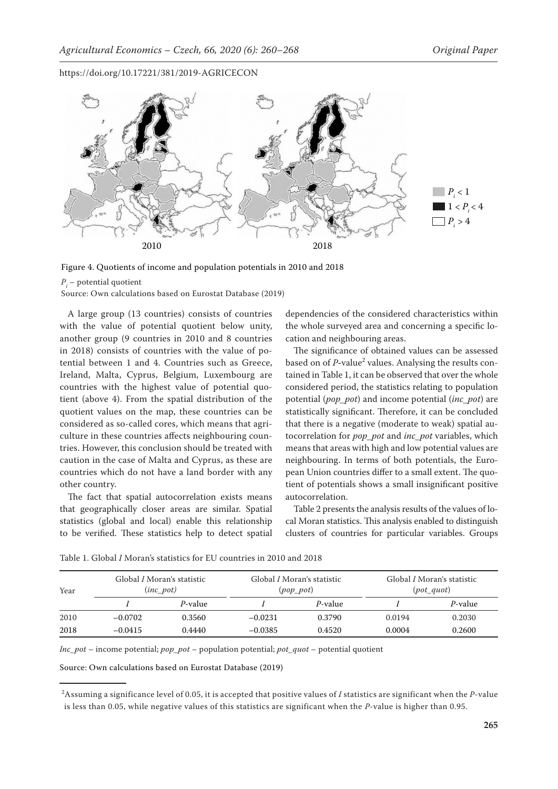



# $P_{i}$  – potential quotient

Source: Own calculations based on Eurostat Database (2019)

A large group (13 countries) consists of countries with the value of potential quotient below unity, another group (9 countries in 2010 and 8 countries in 2018) consists of countries with the value of potential between 1 and 4. Countries such as Greece, Ireland, Malta, Cyprus, Belgium, Luxembourg are countries with the highest value of potential quotient (above 4). From the spatial distribution of the quotient values on the map, these countries can be considered as so-called cores, which means that agriculture in these countries affects neighbouring countries. However, this conclusion should be treated with caution in the case of Malta and Cyprus, as these are countries which do not have a land border with any other country.

The fact that spatial autocorrelation exists means that geographically closer areas are similar. Spatial statistics (global and local) enable this relationship to be verified. These statistics help to detect spatial

dependencies of the considered characteristics within the whole surveyed area and concerning a specific location and neighbouring areas.

The significance of obtained values can be assessed based on of *P*-value<sup>2</sup> values. Analysing the results contained in Table 1, it can be observed that over the whole considered period, the statistics relating to population potential (*pop\_pot*) and income potential (*inc\_pot*) are statistically significant. Therefore, it can be concluded that there is a negative (moderate to weak) spatial autocorrelation for *pop\_pot* and *inc\_pot* variables, which means that areas with high and low potential values are neighbouring. In terms of both potentials, the European Union countries differ to a small extent. The quotient of potentials shows a small insignificant positive autocorrelation.

Table 2 presents the analysis results of the values of local Moran statistics. This analysis enabled to distinguish clusters of countries for particular variables. Groups

| Year | Global <i>I</i> Moran's statistic<br>(inc pot) |                 | Global <i>I</i> Moran's statistic<br>$(pop\;pot)$ |         | Global <i>I</i> Moran's statistic<br>$(pot_quot)$ |                 |
|------|------------------------------------------------|-----------------|---------------------------------------------------|---------|---------------------------------------------------|-----------------|
|      |                                                | <i>P</i> -value |                                                   | P-value |                                                   | <i>P</i> -value |
| 2010 | $-0.0702$                                      | 0.3560          | $-0.0231$                                         | 0.3790  | 0.0194                                            | 0.2030          |
| 2018 | $-0.0415$                                      | 0.4440          | $-0.0385$                                         | 0.4520  | 0.0004                                            | 0.2600          |

Table 1. Global *I* Moran's statistics for EU countries in 2010 and 2018

*Inc\_pot* – income potential; *pop\_pot* – population potential; *pot\_quot* – potential quotient

Source: Own calculations based on Eurostat Database (2019)

<sup>2</sup> Assuming a significance level of 0.05, it is accepted that positive values of *I* statistics are significant when the *P*-value is less than 0.05, while negative values of this statistics are significant when the *P*-value is higher than 0.95.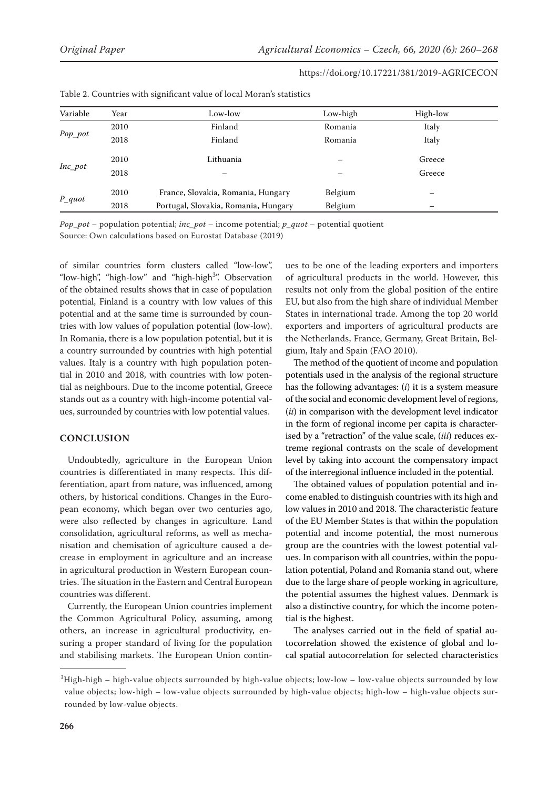| Variable         | Year | Low-low                              | Low-high | High-low |
|------------------|------|--------------------------------------|----------|----------|
| Pop_pot          | 2010 | Finland                              | Romania  | Italy    |
|                  | 2018 | Finland                              | Romania  | Italy    |
| $Inc\_pot$       | 2010 | Lithuania                            |          | Greece   |
|                  | 2018 |                                      |          | Greece   |
| $P_{\perp}$ quot | 2010 | France, Slovakia, Romania, Hungary   | Belgium  |          |
|                  | 2018 | Portugal, Slovakia, Romania, Hungary | Belgium  |          |

|  |  |  | Table 2. Countries with significant value of local Moran's statistics |
|--|--|--|-----------------------------------------------------------------------|
|--|--|--|-----------------------------------------------------------------------|

*Pop*\_*pot* – population potential; *inc\_pot* – income potential; *p\_quot* – potential quotient Source: Own calculations based on Eurostat Database (2019)

of similar countries form clusters called "low-low", "low-high", "high-low" and "high-high<sup>3</sup>". Observation of the obtained results shows that in case of population potential, Finland is a country with low values of this potential and at the same time is surrounded by countries with low values of population potential (low-low). In Romania, there is a low population potential, but it is a country surrounded by countries with high potential values. Italy is a country with high population potential in 2010 and 2018, with countries with low potential as neighbours. Due to the income potential, Greece stands out as a country with high-income potential values, surrounded by countries with low potential values.

# **CONCLUSION**

Undoubtedly, agriculture in the European Union countries is differentiated in many respects. This differentiation, apart from nature, was influenced, among others, by historical conditions. Changes in the European economy, which began over two centuries ago, were also reflected by changes in agriculture. Land consolidation, agricultural reforms, as well as mechanisation and chemisation of agriculture caused a decrease in employment in agriculture and an increase in agricultural production in Western European countries. The situation in the Eastern and Central European countries was different.

Currently, the European Union countries implement the Common Agricultural Policy, assuming, among others, an increase in agricultural productivity, ensuring a proper standard of living for the population and stabilising markets. The European Union contin-

ues to be one of the leading exporters and importers of agricultural products in the world. However, this results not only from the global position of the entire EU, but also from the high share of individual Member States in international trade. Among the top 20 world exporters and importers of agricultural products are the Netherlands, France, Germany, Great Britain, Belgium, Italy and Spain (FAO 2010).

The method of the quotient of income and population potentials used in the analysis of the regional structure has the following advantages: (*i*) it is a system measure of the social and economic development level of regions, (*ii*) in comparison with the development level indicator in the form of regional income per capita is characterised by a "retraction" of the value scale, (*iii*) reduces extreme regional contrasts on the scale of development level by taking into account the compensatory impact of the interregional influence included in the potential.

The obtained values of population potential and income enabled to distinguish countries with its high and low values in 2010 and 2018. The characteristic feature of the EU Member States is that within the population potential and income potential, the most numerous group are the countries with the lowest potential values. In comparison with all countries, within the population potential, Poland and Romania stand out, where due to the large share of people working in agriculture, the potential assumes the highest values. Denmark is also a distinctive country, for which the income potential is the highest.

The analyses carried out in the field of spatial autocorrelation showed the existence of global and local spatial autocorrelation for selected characteristics

<sup>3</sup> High-high – high-value objects surrounded by high-value objects; low-low – low-value objects surrounded by low value objects; low-high – low-value objects surrounded by high-value objects; high-low – high-value objects surrounded by low-value objects.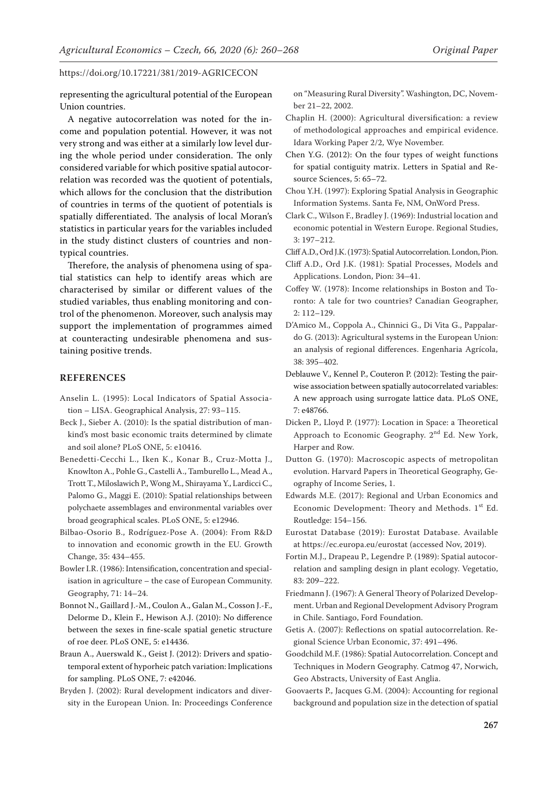representing the agricultural potential of the European Union countries.

A negative autocorrelation was noted for the income and population potential. However, it was not very strong and was either at a similarly low level during the whole period under consideration. The only considered variable for which positive spatial autocorrelation was recorded was the quotient of potentials, which allows for the conclusion that the distribution of countries in terms of the quotient of potentials is spatially differentiated. The analysis of local Moran's statistics in particular years for the variables included in the study distinct clusters of countries and nontypical countries.

Therefore, the analysis of phenomena using of spatial statistics can help to identify areas which are characterised by similar or different values of the studied variables, thus enabling monitoring and control of the phenomenon. Moreover, such analysis may support the implementation of programmes aimed at counteracting undesirable phenomena and sustaining positive trends.

# **REFERENCES**

- Anselin L. (1995): Local Indicators of Spatial Association – LISA. Geographical Analysis, 27: 93–115.
- Beck J., Sieber A. (2010): Is the spatial distribution of mankind's most basic economic traits determined by climate and soil alone? PLoS ONE, 5: e10416.
- Benedetti-Cecchi L., Iken K., Konar B., Cruz-Motta J., Knowlton A., Pohle G., Castelli A., Tamburello L., Mead A., Trott T., Miloslawich P., Wong M., Shirayama Y., Lardicci C., Palomo G., Maggi E. (2010): Spatial relationships between polychaete assemblages and environmental variables over broad geographical scales. PLoS ONE, 5: e12946.
- Bilbao-Osorio B., Rodríguez-Pose A. (2004): From R&D to innovation and economic growth in the EU. Growth Change, 35: 434–455.
- Bowler I.R. (1986): Intensification, concentration and specialisation in agriculture – the case of European Community. Geography, 71: 14–24.
- Bonnot N., Gaillard J.-M., Coulon A., Galan M., Cosson J.-F., Delorme D., Klein F., Hewison A.J. (2010): No difference between the sexes in fine-scale spatial genetic structure of roe deer. PLoS ONE, 5: e14436.
- Braun A., Auerswald K., Geist J. (2012): Drivers and spatiotemporal extent of hyporheic patch variation: Implications for sampling. PLoS ONE, 7: e42046.
- Bryden J. (2002): Rural development indicators and diversity in the European Union. In: Proceedings Conference

on "Measuring Rural Diversity". Washington, DC, November 21–22, 2002.

- Chaplin H. (2000): Agricultural diversification: a review of methodological approaches and empirical evidence. Idara Working Paper 2/2, Wye November.
- Chen Y.G. (2012): On the four types of weight functions for spatial contiguity matrix. Letters in Spatial and Resource Sciences, 5: 65–72.
- Chou Y.H. (1997): Exploring Spatial Analysis in Geographic Information Systems. Santa Fe, NM, OnWord Press.
- Clark C., Wilson F., Bradley J. (1969): Industrial location and economic potential in Western Europe. Regional Studies, 3: 197–212.

Cliff A.D., Ord J.K. (1973): Spatial Autocorrelation. London, Pion.

- Cliff A.D., Ord J.K. (1981): Spatial Processes, Models and Applications. London, Pion: 34–41.
- Coffey W. (1978): Income relationships in Boston and Toronto: A tale for two countries? Canadian Geographer, 2: 112–129.
- D'Amico M., Coppola A., Chinnici G., Di Vita G., Pappalardo G. (2013): Agricultural systems in the European Union: an analysis of regional differences. Engenharia Agrícola, 38: 395–402.
- Deblauwe V., Kennel P., Couteron P. (2012): Testing the pairwise association between spatially autocorrelated variables: A new approach using surrogate lattice data. PLoS ONE, 7: e48766.
- Dicken P., Lloyd P. (1977): Location in Space: a Theoretical Approach to Economic Geography. 2<sup>nd</sup> Ed. New York, Harper and Row.
- Dutton G. (1970): Macroscopic aspects of metropolitan evolution. Harvard Papers in Theoretical Geography, Geography of Income Series, 1.
- Edwards M.E. (2017): Regional and Urban Economics and Economic Development: Theory and Methods. 1st Ed. Routledge: 154–156.
- Eurostat Database (2019): Eurostat Database. Available at https://ec.europa.eu/eurostat (accessed Nov, 2019).
- Fortin M.J., Drapeau P., Legendre P. (1989): Spatial autocorrelation and sampling design in plant ecology. Vegetatio, 83: 209–222.
- Friedmann J. (1967): A General Theory of Polarized Development. Urban and Regional Development Advisory Program in Chile. Santiago, Ford Foundation.
- Getis A. (2007): Reflections on spatial autocorrelation. Regional Science Urban Economic, 37: 491–496.
- Goodchild M.F. (1986): Spatial Autocorrelation. Concept and Techniques in Modern Geography. Catmog 47, Norwich, Geo Abstracts, University of East Anglia.
- Goovaerts P., Jacques G.M. (2004): Accounting for regional background and population size in the detection of spatial